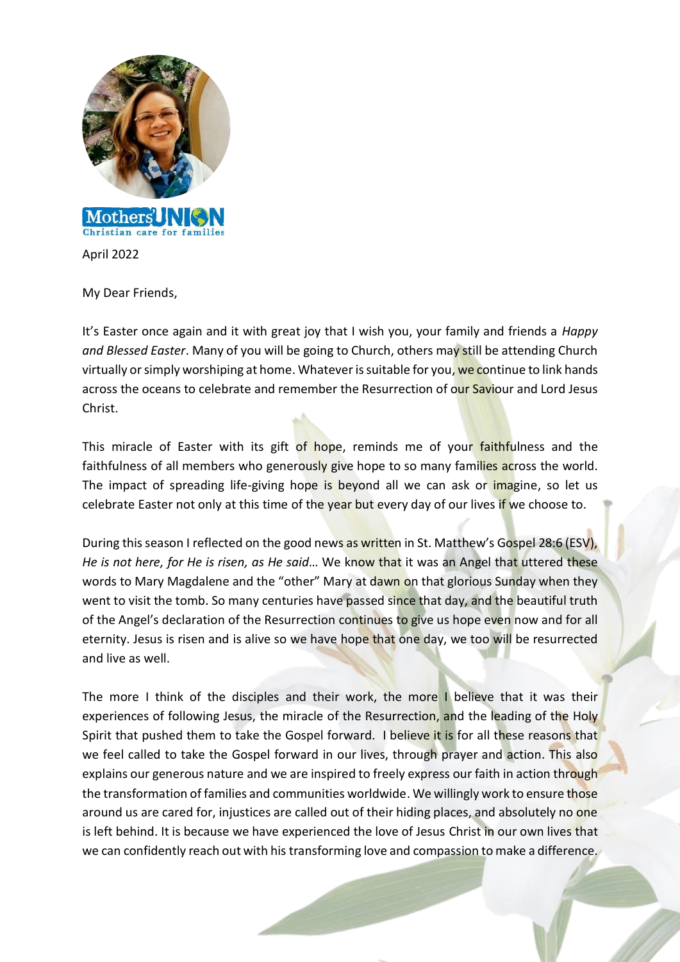

April 2022

My Dear Friends,

It's Easter once again and it with great joy that I wish you, your family and friends a *Happy and Blessed Easter*. Many of you will be going to Church, others may still be attending Church virtually or simply worshiping at home. Whatever is suitable for you, we continue to link hands across the oceans to celebrate and remember the Resurrection of our Saviour and Lord Jesus Christ.

This miracle of Easter with its gift of hope, reminds me of your faithfulness and the faithfulness of all members who generously give hope to so many families across the world. The impact of spreading life-giving hope is beyond all we can ask or *imagine*, so let us celebrate Easter not only at this time of the year but every day of our lives if we choose to.

During this season I reflected on the good news as written in St. Matthew's Gospel 28:6 (ESV), *He is not here, for He is risen, as He said*… We know that it was an Angel that uttered these words to Mary Magdalene and the "other" Mary at dawn on that glorious Sunday when they went to visit the tomb. So many centuries have passed since that day, and the beautiful truth of the Angel's declaration of the Resurrection continues to give us hope even now and for all eternity. Jesus is risen and is alive so we have hope that one day, we too will be resurrected and live as well.

The more I think of the disciples and their work, the more I believe that it was their experiences of following Jesus, the miracle of the Resurrection, and the leading of the Holy Spirit that pushed them to take the Gospel forward. I believe it is for all these reasons that we feel called to take the Gospel forward in our lives, through prayer and action. This also explains our generous nature and we are inspired to freely express our faith in action through the transformation of families and communities worldwide. We willingly work to ensure those around us are cared for, injustices are called out of their hiding places, and absolutely no one is left behind. It is because we have experienced the love of Jesus Christ in our own lives that we can confidently reach out with his transforming love and compassion to make a difference.